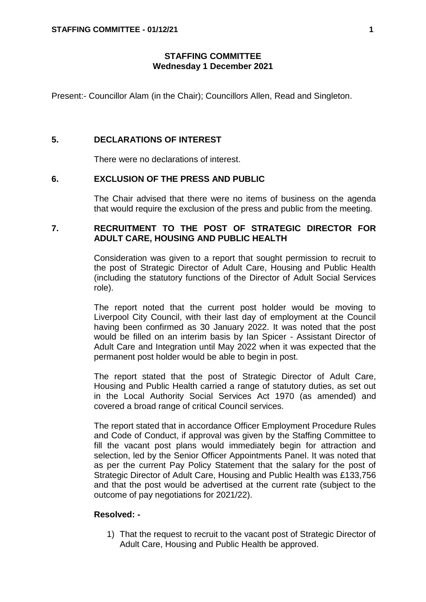# **STAFFING COMMITTEE Wednesday 1 December 2021**

Present:- Councillor Alam (in the Chair); Councillors Allen, Read and Singleton.

### **5. DECLARATIONS OF INTEREST**

There were no declarations of interest.

### **6. EXCLUSION OF THE PRESS AND PUBLIC**

The Chair advised that there were no items of business on the agenda that would require the exclusion of the press and public from the meeting.

# **7. RECRUITMENT TO THE POST OF STRATEGIC DIRECTOR FOR ADULT CARE, HOUSING AND PUBLIC HEALTH**

Consideration was given to a report that sought permission to recruit to the post of Strategic Director of Adult Care, Housing and Public Health (including the statutory functions of the Director of Adult Social Services role).

The report noted that the current post holder would be moving to Liverpool City Council, with their last day of employment at the Council having been confirmed as 30 January 2022. It was noted that the post would be filled on an interim basis by Ian Spicer - Assistant Director of Adult Care and Integration until May 2022 when it was expected that the permanent post holder would be able to begin in post.

The report stated that the post of Strategic Director of Adult Care, Housing and Public Health carried a range of statutory duties, as set out in the Local Authority Social Services Act 1970 (as amended) and covered a broad range of critical Council services.

The report stated that in accordance Officer Employment Procedure Rules and Code of Conduct, if approval was given by the Staffing Committee to fill the vacant post plans would immediately begin for attraction and selection, led by the Senior Officer Appointments Panel. It was noted that as per the current Pay Policy Statement that the salary for the post of Strategic Director of Adult Care, Housing and Public Health was £133,756 and that the post would be advertised at the current rate (subject to the outcome of pay negotiations for 2021/22).

#### **Resolved: -**

1) That the request to recruit to the vacant post of Strategic Director of Adult Care, Housing and Public Health be approved.